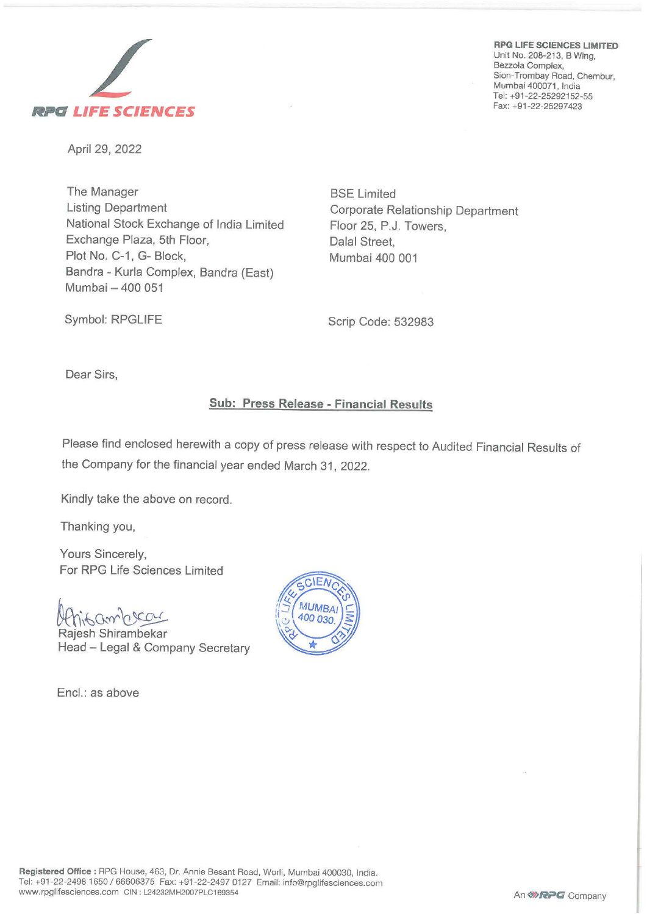



April 29, 2022

The Manager Listing Department National Stock Exchange of India Limited Exchange Plaza, 5th Floor, Plot No. C-1, G- Block, Sandra - Kurla Complex, Sandra (East) Mumbai - 400 051

BSE Limited Corporate Relationship Department Floor 25, P.J. Towers, Dalal Street, Mumbai 400 001

Symbol: RPGLIFE

Scrip Code: 532983

Dear Sirs,

## **Sub: Press Release** - **Financial Results**

Please find enclosed herewith a copy of press release with respect to Audited Financial Results of the Company for the financial year ended March 31, 2022.

Kindly take the above on record.

Thanking you,

Yours Sincerely, For RPG Life Sciences Limited

Uthisambras

Rajesh Shirambekar Head - Legal & Company Secretary

Encl.: as above